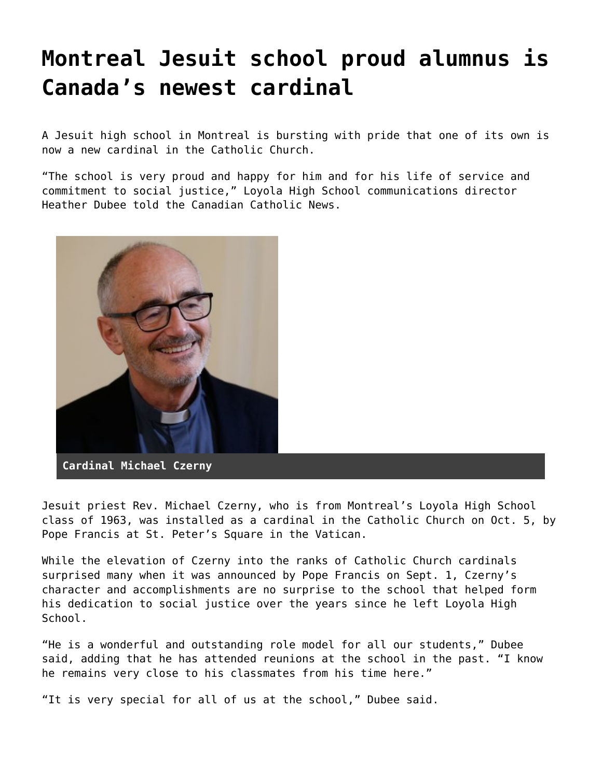## **[Montreal Jesuit school proud alumnus is](https://grandinmedia.ca/montreal-jesuit-school-proud-alumnus-is-canadas-newest-cardinal/) [Canada's newest cardinal](https://grandinmedia.ca/montreal-jesuit-school-proud-alumnus-is-canadas-newest-cardinal/)**

A Jesuit high school in Montreal is bursting with pride that one of its own is now a new cardinal in the Catholic Church.

"The school is very proud and happy for him and for his life of service and commitment to social justice," [Loyola High School c](https://loyola.ca/)ommunications director Heather Dubee told the Canadian Catholic News.



Jesuit priest Rev. Michael Czerny, who is from Montreal's Loyola High School class of 1963, was installed [as a cardinal in the Catholic Church on Oct. 5](https://grandinmedia.ca/canadas-father-michael-czerny-made-a-cardinal/), by Pope Francis at St. Peter's Square in the Vatican.

While the elevation of Czerny into the ranks of Catholic Church cardinals surprised many when it was announced by Pope Francis on Sept. 1, Czerny's character and accomplishments are no surprise to the school that helped form his dedication to social justice over the years since he left Loyola High School.

"He is a wonderful and outstanding role model for all our students," Dubee said, adding that he has attended reunions at the school in the past. "I know he remains very close to his classmates from his time here."

"It is very special for all of us at the school," Dubee said.